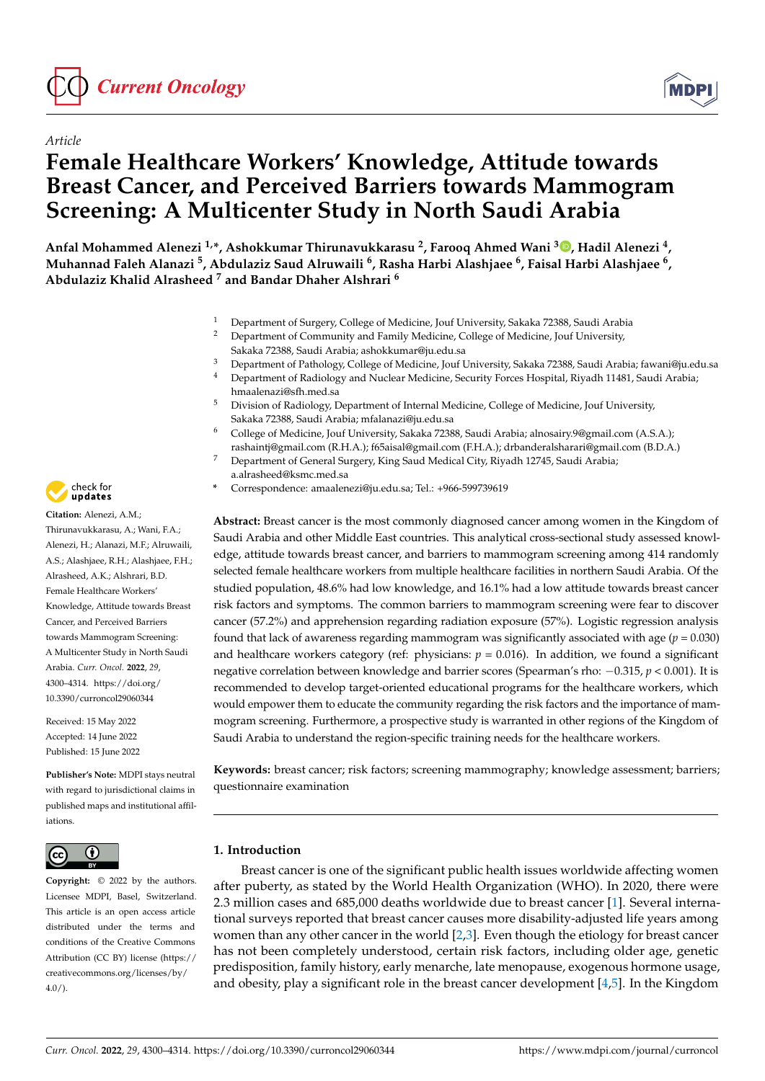



# *Article* **Female Healthcare Workers' Knowledge, Attitude towards Breast Cancer, and Perceived Barriers towards Mammogram Screening: A Multicenter Study in North Saudi Arabia**

**Anfal Mohammed Alenezi 1,\*, Ashokkumar Thirunavukkarasu <sup>2</sup> , Farooq Ahmed Wani <sup>3</sup> [,](https://orcid.org/0000-0002-8614-3293) Hadil Alenezi <sup>4</sup> , Muhannad Faleh Alanazi <sup>5</sup> , Abdulaziz Saud Alruwaili <sup>6</sup> , Rasha Harbi Alashjaee <sup>6</sup> , Faisal Harbi Alashjaee <sup>6</sup> , Abdulaziz Khalid Alrasheed <sup>7</sup> and Bandar Dhaher Alshrari <sup>6</sup>**

- <sup>1</sup> Department of Surgery, College of Medicine, Jouf University, Sakaka 72388, Saudi Arabia
- <sup>2</sup> Department of Community and Family Medicine, College of Medicine, Jouf University, Sakaka 72388, Saudi Arabia; ashokkumar@ju.edu.sa
- <sup>3</sup> Department of Pathology, College of Medicine, Jouf University, Sakaka 72388, Saudi Arabia; fawani@ju.edu.sa
- <sup>4</sup> Department of Radiology and Nuclear Medicine, Security Forces Hospital, Riyadh 11481, Saudi Arabia; hmaalenazi@sfh.med.sa
- <sup>5</sup> Division of Radiology, Department of Internal Medicine, College of Medicine, Jouf University, Sakaka 72388, Saudi Arabia; mfalanazi@ju.edu.sa
- <sup>6</sup> College of Medicine, Jouf University, Sakaka 72388, Saudi Arabia; alnosairy.9@gmail.com (A.S.A.); rashaintj@gmail.com (R.H.A.); f65aisal@gmail.com (F.H.A.); drbanderalsharari@gmail.com (B.D.A.)
- <sup>7</sup> Department of General Surgery, King Saud Medical City, Riyadh 12745, Saudi Arabia; a.alrasheed@ksmc.med.sa
- **\*** Correspondence: amaalenezi@ju.edu.sa; Tel.: +966-599739619

**Abstract:** Breast cancer is the most commonly diagnosed cancer among women in the Kingdom of Saudi Arabia and other Middle East countries. This analytical cross-sectional study assessed knowledge, attitude towards breast cancer, and barriers to mammogram screening among 414 randomly selected female healthcare workers from multiple healthcare facilities in northern Saudi Arabia. Of the studied population, 48.6% had low knowledge, and 16.1% had a low attitude towards breast cancer risk factors and symptoms. The common barriers to mammogram screening were fear to discover cancer (57.2%) and apprehension regarding radiation exposure (57%). Logistic regression analysis found that lack of awareness regarding mammogram was significantly associated with age ( $p = 0.030$ ) and healthcare workers category (ref: physicians:  $p = 0.016$ ). In addition, we found a significant negative correlation between knowledge and barrier scores (Spearman's rho: −0.315, *p* < 0.001). It is recommended to develop target-oriented educational programs for the healthcare workers, which would empower them to educate the community regarding the risk factors and the importance of mammogram screening. Furthermore, a prospective study is warranted in other regions of the Kingdom of Saudi Arabia to understand the region-specific training needs for the healthcare workers.

**Keywords:** breast cancer; risk factors; screening mammography; knowledge assessment; barriers; questionnaire examination

## **1. Introduction**

Breast cancer is one of the significant public health issues worldwide affecting women after puberty, as stated by the World Health Organization (WHO). In 2020, there were 2.3 million cases and 685,000 deaths worldwide due to breast cancer [\[1\]](#page-13-0). Several international surveys reported that breast cancer causes more disability-adjusted life years among women than any other cancer in the world [\[2](#page-13-1)[,3\]](#page-13-2). Even though the etiology for breast cancer has not been completely understood, certain risk factors, including older age, genetic predisposition, family history, early menarche, late menopause, exogenous hormone usage, and obesity, play a significant role in the breast cancer development  $[4,5]$  $[4,5]$ . In the Kingdom



**Citation:** Alenezi, A.M.; Thirunavukkarasu, A.; Wani, F.A.; Alenezi, H.; Alanazi, M.F.; Alruwaili, A.S.; Alashjaee, R.H.; Alashjaee, F.H.; Alrasheed, A.K.; Alshrari, B.D. Female Healthcare Workers' Knowledge, Attitude towards Breast Cancer, and Perceived Barriers towards Mammogram Screening: A Multicenter Study in North Saudi Arabia. *Curr. Oncol.* **2022**, *29*, 4300–4314. [https://doi.org/](https://doi.org/10.3390/curroncol29060344) [10.3390/curroncol29060344](https://doi.org/10.3390/curroncol29060344)

Received: 15 May 2022 Accepted: 14 June 2022 Published: 15 June 2022

**Publisher's Note:** MDPI stays neutral with regard to jurisdictional claims in published maps and institutional affiliations.



**Copyright:** © 2022 by the authors. Licensee MDPI, Basel, Switzerland. This article is an open access article distributed under the terms and conditions of the Creative Commons Attribution (CC BY) license [\(https://](https://creativecommons.org/licenses/by/4.0/) [creativecommons.org/licenses/by/](https://creativecommons.org/licenses/by/4.0/)  $4.0/$ ).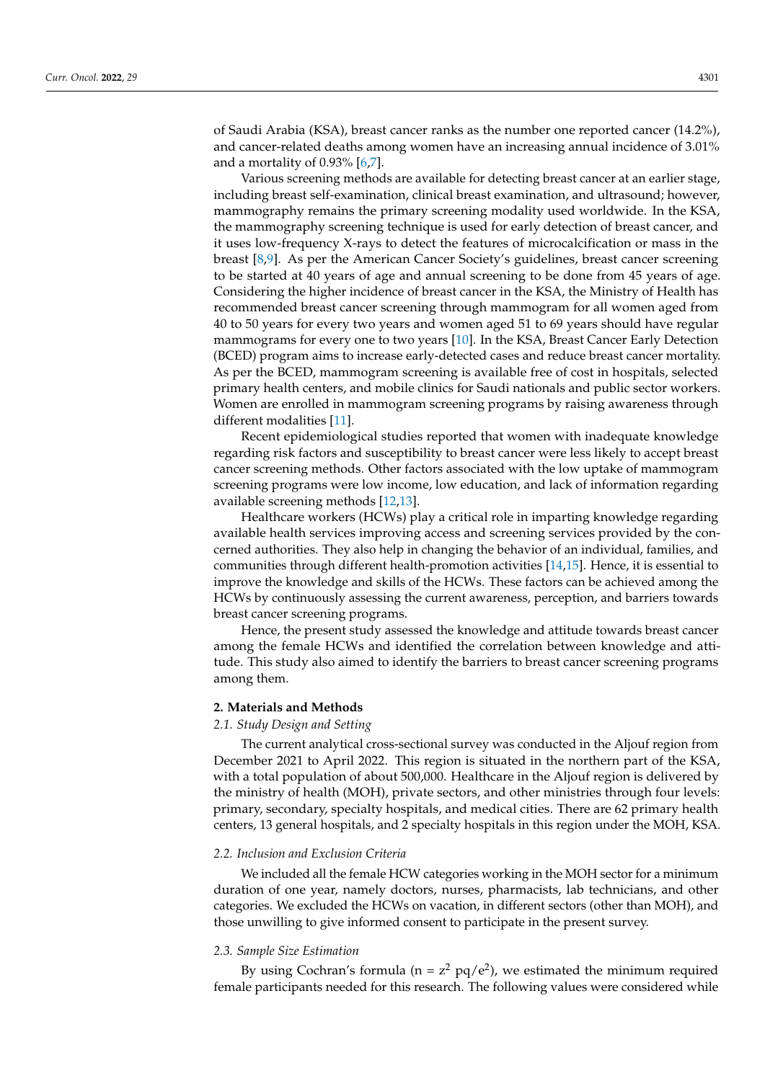of Saudi Arabia (KSA), breast cancer ranks as the number one reported cancer (14.2%), and cancer-related deaths among women have an increasing annual incidence of 3.01% and a mortality of 0.93% [\[6,](#page-13-5)[7\]](#page-13-6).

Various screening methods are available for detecting breast cancer at an earlier stage, including breast self-examination, clinical breast examination, and ultrasound; however, mammography remains the primary screening modality used worldwide. In the KSA, the mammography screening technique is used for early detection of breast cancer, and it uses low-frequency X-rays to detect the features of microcalcification or mass in the breast [\[8](#page-13-7)[,9\]](#page-13-8). As per the American Cancer Society's guidelines, breast cancer screening to be started at 40 years of age and annual screening to be done from 45 years of age. Considering the higher incidence of breast cancer in the KSA, the Ministry of Health has recommended breast cancer screening through mammogram for all women aged from 40 to 50 years for every two years and women aged 51 to 69 years should have regular mammograms for every one to two years [\[10\]](#page-13-9). In the KSA, Breast Cancer Early Detection (BCED) program aims to increase early-detected cases and reduce breast cancer mortality. As per the BCED, mammogram screening is available free of cost in hospitals, selected primary health centers, and mobile clinics for Saudi nationals and public sector workers. Women are enrolled in mammogram screening programs by raising awareness through different modalities [\[11\]](#page-13-10).

Recent epidemiological studies reported that women with inadequate knowledge regarding risk factors and susceptibility to breast cancer were less likely to accept breast cancer screening methods. Other factors associated with the low uptake of mammogram screening programs were low income, low education, and lack of information regarding available screening methods [\[12](#page-14-0)[,13\]](#page-14-1).

Healthcare workers (HCWs) play a critical role in imparting knowledge regarding available health services improving access and screening services provided by the concerned authorities. They also help in changing the behavior of an individual, families, and communities through different health-promotion activities [\[14,](#page-14-2)[15\]](#page-14-3). Hence, it is essential to improve the knowledge and skills of the HCWs. These factors can be achieved among the HCWs by continuously assessing the current awareness, perception, and barriers towards breast cancer screening programs.

Hence, the present study assessed the knowledge and attitude towards breast cancer among the female HCWs and identified the correlation between knowledge and attitude. This study also aimed to identify the barriers to breast cancer screening programs among them.

## **2. Materials and Methods**

# *2.1. Study Design and Setting*

The current analytical cross-sectional survey was conducted in the Aljouf region from December 2021 to April 2022. This region is situated in the northern part of the KSA, with a total population of about 500,000. Healthcare in the Aljouf region is delivered by the ministry of health (MOH), private sectors, and other ministries through four levels: primary, secondary, specialty hospitals, and medical cities. There are 62 primary health centers, 13 general hospitals, and 2 specialty hospitals in this region under the MOH, KSA.

### *2.2. Inclusion and Exclusion Criteria*

We included all the female HCW categories working in the MOH sector for a minimum duration of one year, namely doctors, nurses, pharmacists, lab technicians, and other categories. We excluded the HCWs on vacation, in different sectors (other than MOH), and those unwilling to give informed consent to participate in the present survey.

### *2.3. Sample Size Estimation*

By using Cochran's formula ( $n = z^2$  pq/e<sup>2</sup>), we estimated the minimum required female participants needed for this research. The following values were considered while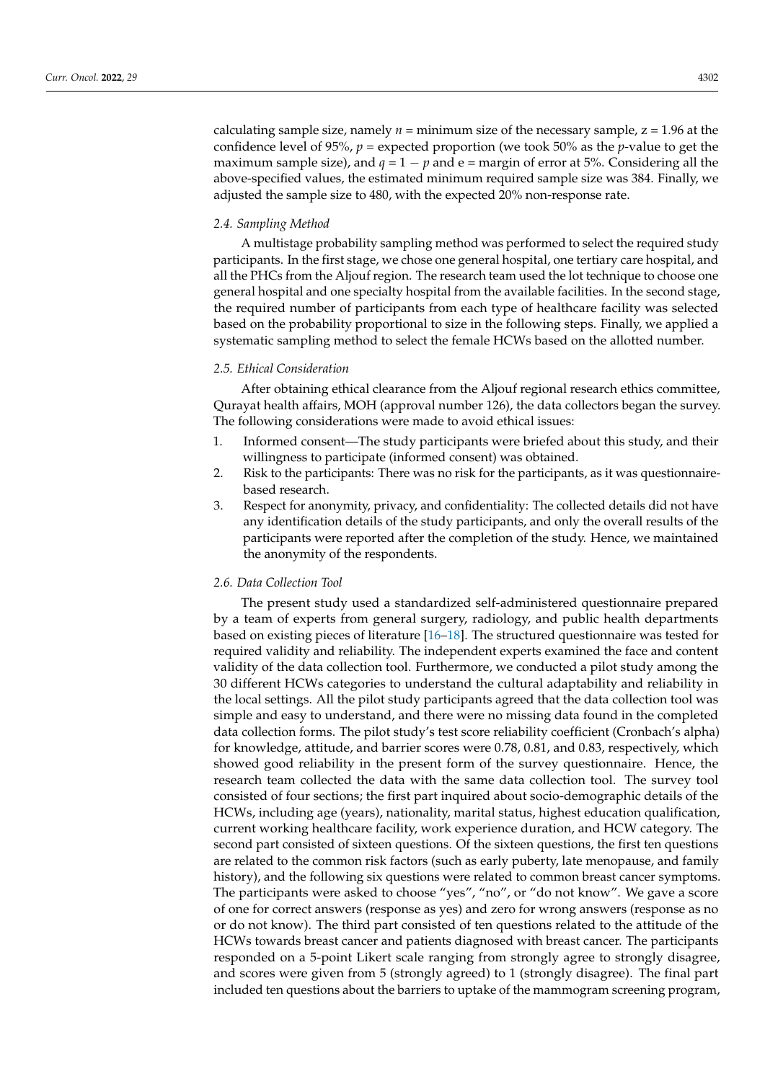calculating sample size, namely  $n =$  minimum size of the necessary sample,  $z = 1.96$  at the confidence level of 95%,  $p =$  expected proportion (we took 50% as the *p*-value to get the maximum sample size), and  $q = 1 - p$  and  $e =$  margin of error at 5%. Considering all the above-specified values, the estimated minimum required sample size was 384. Finally, we adjusted the sample size to 480, with the expected 20% non-response rate.

## *2.4. Sampling Method*

A multistage probability sampling method was performed to select the required study participants. In the first stage, we chose one general hospital, one tertiary care hospital, and all the PHCs from the Aljouf region. The research team used the lot technique to choose one general hospital and one specialty hospital from the available facilities. In the second stage, the required number of participants from each type of healthcare facility was selected based on the probability proportional to size in the following steps. Finally, we applied a systematic sampling method to select the female HCWs based on the allotted number.

## *2.5. Ethical Consideration*

After obtaining ethical clearance from the Aljouf regional research ethics committee, Qurayat health affairs, MOH (approval number 126), the data collectors began the survey. The following considerations were made to avoid ethical issues:

- 1. Informed consent—The study participants were briefed about this study, and their willingness to participate (informed consent) was obtained.
- 2. Risk to the participants: There was no risk for the participants, as it was questionnairebased research.
- 3. Respect for anonymity, privacy, and confidentiality: The collected details did not have any identification details of the study participants, and only the overall results of the participants were reported after the completion of the study. Hence, we maintained the anonymity of the respondents.

## *2.6. Data Collection Tool*

The present study used a standardized self-administered questionnaire prepared by a team of experts from general surgery, radiology, and public health departments based on existing pieces of literature [\[16](#page-14-4)[–18\]](#page-14-5). The structured questionnaire was tested for required validity and reliability. The independent experts examined the face and content validity of the data collection tool. Furthermore, we conducted a pilot study among the 30 different HCWs categories to understand the cultural adaptability and reliability in the local settings. All the pilot study participants agreed that the data collection tool was simple and easy to understand, and there were no missing data found in the completed data collection forms. The pilot study's test score reliability coefficient (Cronbach's alpha) for knowledge, attitude, and barrier scores were 0.78, 0.81, and 0.83, respectively, which showed good reliability in the present form of the survey questionnaire. Hence, the research team collected the data with the same data collection tool. The survey tool consisted of four sections; the first part inquired about socio-demographic details of the HCWs, including age (years), nationality, marital status, highest education qualification, current working healthcare facility, work experience duration, and HCW category. The second part consisted of sixteen questions. Of the sixteen questions, the first ten questions are related to the common risk factors (such as early puberty, late menopause, and family history), and the following six questions were related to common breast cancer symptoms. The participants were asked to choose "yes", "no", or "do not know". We gave a score of one for correct answers (response as yes) and zero for wrong answers (response as no or do not know). The third part consisted of ten questions related to the attitude of the HCWs towards breast cancer and patients diagnosed with breast cancer. The participants responded on a 5-point Likert scale ranging from strongly agree to strongly disagree, and scores were given from 5 (strongly agreed) to 1 (strongly disagree). The final part included ten questions about the barriers to uptake of the mammogram screening program,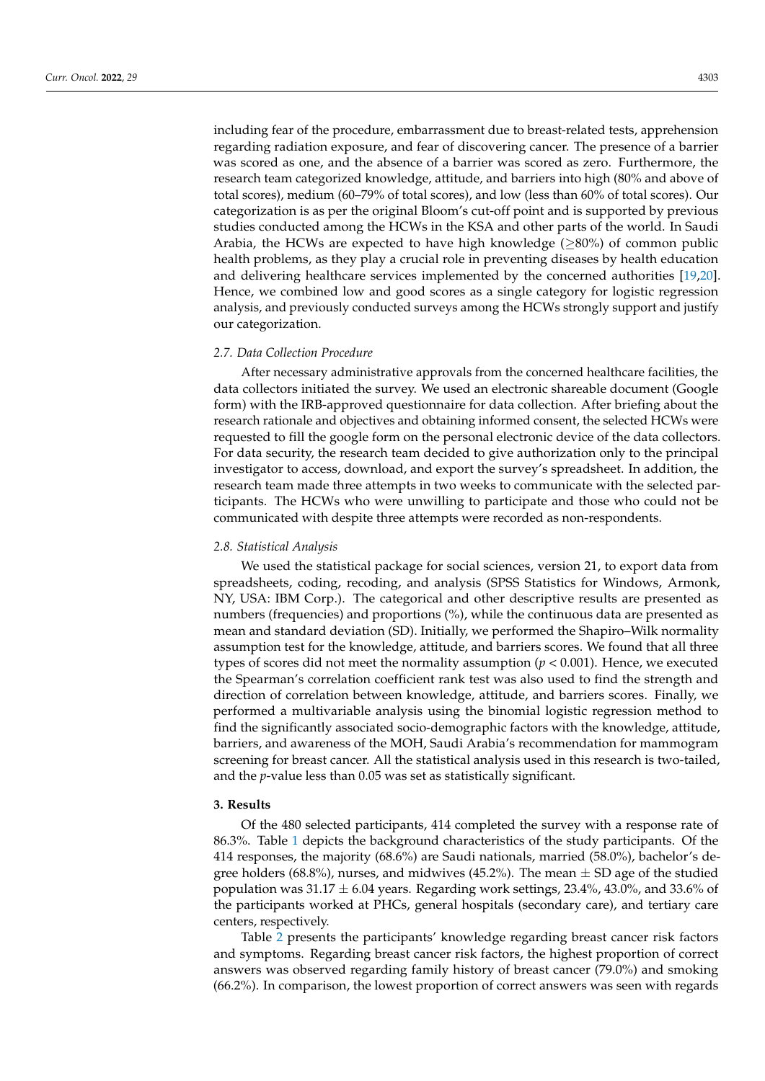including fear of the procedure, embarrassment due to breast-related tests, apprehension regarding radiation exposure, and fear of discovering cancer. The presence of a barrier was scored as one, and the absence of a barrier was scored as zero. Furthermore, the research team categorized knowledge, attitude, and barriers into high (80% and above of total scores), medium (60–79% of total scores), and low (less than 60% of total scores). Our categorization is as per the original Bloom's cut-off point and is supported by previous studies conducted among the HCWs in the KSA and other parts of the world. In Saudi Arabia, the HCWs are expected to have high knowledge ( $\geq$ 80%) of common public health problems, as they play a crucial role in preventing diseases by health education and delivering healthcare services implemented by the concerned authorities [\[19](#page-14-6)[,20\]](#page-14-7). Hence, we combined low and good scores as a single category for logistic regression analysis, and previously conducted surveys among the HCWs strongly support and justify our categorization.

### *2.7. Data Collection Procedure*

After necessary administrative approvals from the concerned healthcare facilities, the data collectors initiated the survey. We used an electronic shareable document (Google form) with the IRB-approved questionnaire for data collection. After briefing about the research rationale and objectives and obtaining informed consent, the selected HCWs were requested to fill the google form on the personal electronic device of the data collectors. For data security, the research team decided to give authorization only to the principal investigator to access, download, and export the survey's spreadsheet. In addition, the research team made three attempts in two weeks to communicate with the selected participants. The HCWs who were unwilling to participate and those who could not be communicated with despite three attempts were recorded as non-respondents.

#### *2.8. Statistical Analysis*

We used the statistical package for social sciences, version 21, to export data from spreadsheets, coding, recoding, and analysis (SPSS Statistics for Windows, Armonk, NY, USA: IBM Corp.). The categorical and other descriptive results are presented as numbers (frequencies) and proportions (%), while the continuous data are presented as mean and standard deviation (SD). Initially, we performed the Shapiro–Wilk normality assumption test for the knowledge, attitude, and barriers scores. We found that all three types of scores did not meet the normality assumption (*p* < 0.001). Hence, we executed the Spearman's correlation coefficient rank test was also used to find the strength and direction of correlation between knowledge, attitude, and barriers scores. Finally, we performed a multivariable analysis using the binomial logistic regression method to find the significantly associated socio-demographic factors with the knowledge, attitude, barriers, and awareness of the MOH, Saudi Arabia's recommendation for mammogram screening for breast cancer. All the statistical analysis used in this research is two-tailed, and the *p*-value less than 0.05 was set as statistically significant.

#### **3. Results**

Of the 480 selected participants, 414 completed the survey with a response rate of 86.3%. Table [1](#page-4-0) depicts the background characteristics of the study participants. Of the 414 responses, the majority (68.6%) are Saudi nationals, married (58.0%), bachelor's degree holders (68.8%), nurses, and midwives (45.2%). The mean  $\pm$  SD age of the studied population was  $31.17 \pm 6.04$  years. Regarding work settings, 23.4%, 43.0%, and 33.6% of the participants worked at PHCs, general hospitals (secondary care), and tertiary care centers, respectively.

Table [2](#page-5-0) presents the participants' knowledge regarding breast cancer risk factors and symptoms. Regarding breast cancer risk factors, the highest proportion of correct answers was observed regarding family history of breast cancer (79.0%) and smoking (66.2%). In comparison, the lowest proportion of correct answers was seen with regards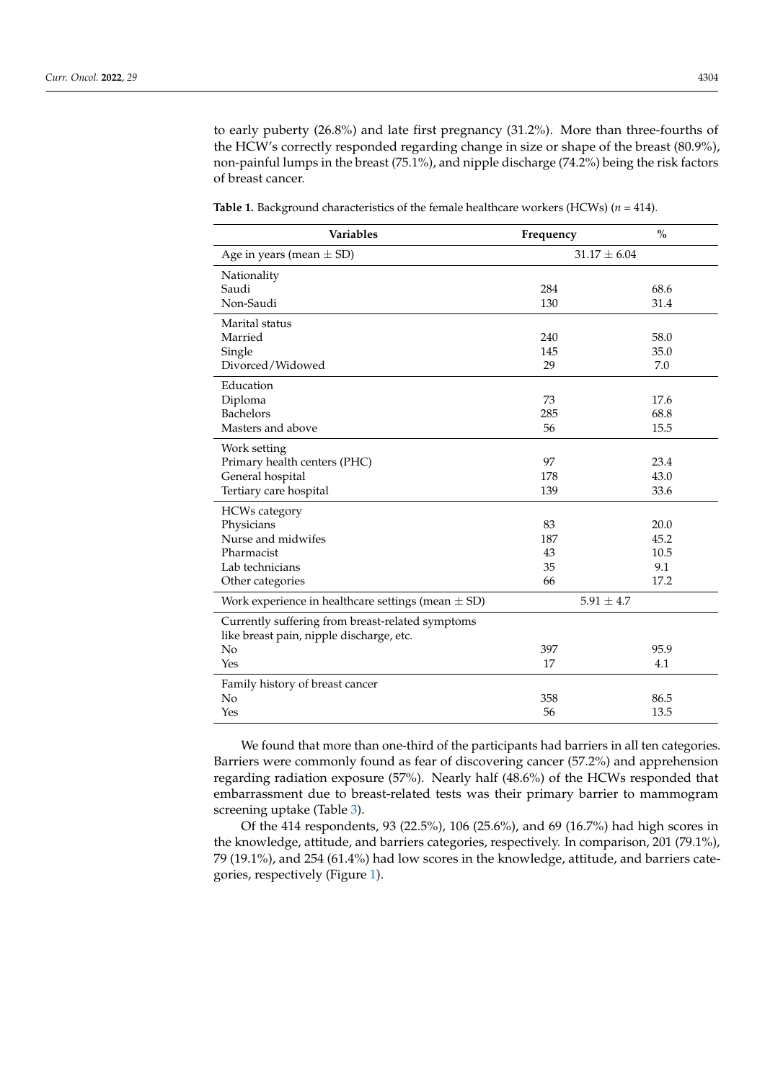to early puberty (26.8%) and late first pregnancy (31.2%). More than three-fourths of the HCW's correctly responded regarding change in size or shape of the breast (80.9%), non-painful lumps in the breast (75.1%), and nipple discharge (74.2%) being the risk factors of breast cancer.

| Variables                                                                                    | Frequency        | $\%$ |
|----------------------------------------------------------------------------------------------|------------------|------|
| Age in years (mean $\pm$ SD)                                                                 | $31.17 \pm 6.04$ |      |
| Nationality                                                                                  |                  |      |
| Saudi                                                                                        | 284              | 68.6 |
| Non-Saudi                                                                                    | 130              | 31.4 |
| Marital status                                                                               |                  |      |
| Married                                                                                      | 240              | 58.0 |
| Single                                                                                       | 145              | 35.0 |
| Divorced/Widowed                                                                             | 29               | 7.0  |
| Education                                                                                    |                  |      |
| Diploma                                                                                      | 73               | 17.6 |
| <b>Bachelors</b>                                                                             | 285              | 68.8 |
| Masters and above                                                                            | 56               | 15.5 |
| Work setting                                                                                 |                  |      |
| Primary health centers (PHC)                                                                 | 97               | 23.4 |
| General hospital                                                                             | 178              | 43.0 |
| Tertiary care hospital                                                                       | 139              | 33.6 |
| <b>HCWs category</b>                                                                         |                  |      |
| Physicians                                                                                   | 83               | 20.0 |
| Nurse and midwifes                                                                           | 187              | 45.2 |
| Pharmacist                                                                                   | 43               | 10.5 |
| Lab technicians                                                                              | 35               | 9.1  |
| Other categories                                                                             | 66               | 17.2 |
| Work experience in healthcare settings (mean $\pm$ SD)                                       | $5.91 \pm 4.7$   |      |
| Currently suffering from breast-related symptoms<br>like breast pain, nipple discharge, etc. |                  |      |
| No                                                                                           | 397              | 95.9 |
| Yes                                                                                          | 17               | 4.1  |
| Family history of breast cancer                                                              |                  |      |
| No                                                                                           | 358              | 86.5 |
| Yes                                                                                          | 56               | 13.5 |

<span id="page-4-0"></span>**Table 1.** Background characteristics of the female healthcare workers (HCWs)  $(n = 414)$ .

We found that more than one-third of the participants had barriers in all ten categories. Barriers were commonly found as fear of discovering cancer (57.2%) and apprehension regarding radiation exposure (57%). Nearly half (48.6%) of the HCWs responded that embarrassment due to breast-related tests was their primary barrier to mammogram screening uptake (Table [3\)](#page-5-1).

Of the 414 respondents, 93 (22.5%), 106 (25.6%), and 69 (16.7%) had high scores in the knowledge, attitude, and barriers categories, respectively. In comparison, 201 (79.1%), 79 (19.1%), and 254 (61.4%) had low scores in the knowledge, attitude, and barriers categories, respectively (Figure [1\)](#page-6-0).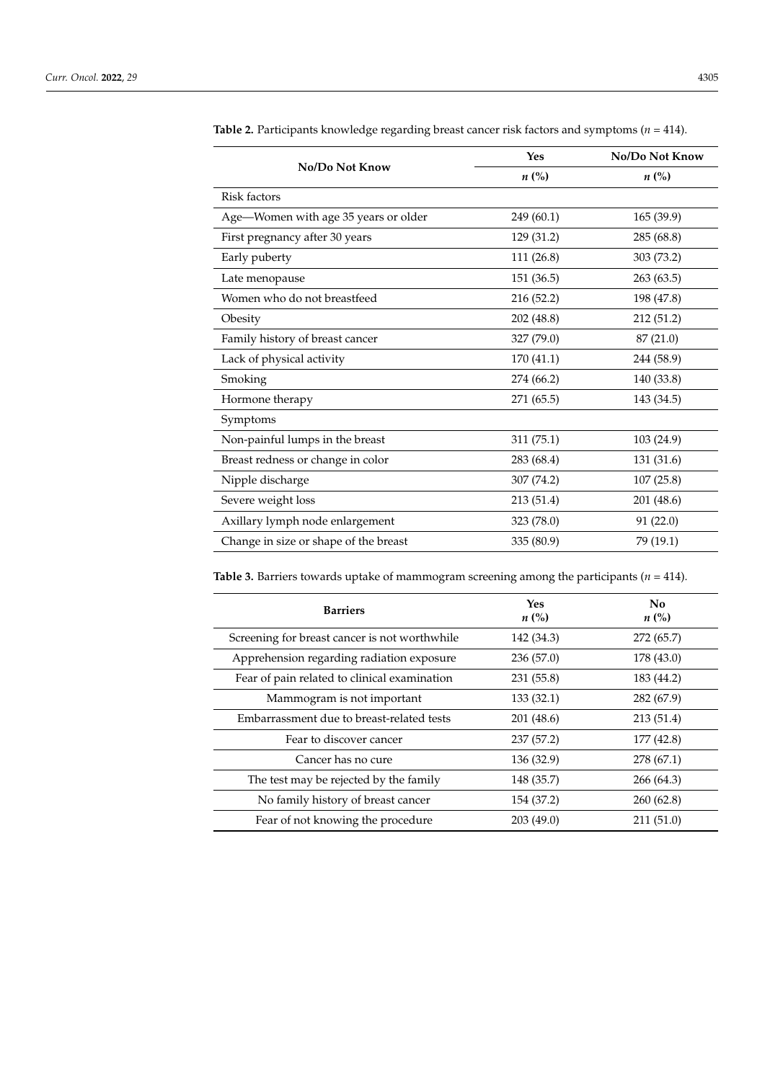| No/Do Not Know                        | Yes                | No/Do Not Know |  |
|---------------------------------------|--------------------|----------------|--|
|                                       | $n\left(\%\right)$ | $n\ (\%)$      |  |
| Risk factors                          |                    |                |  |
| Age-Women with age 35 years or older  | 249 (60.1)         | 165 (39.9)     |  |
| First pregnancy after 30 years        | 129 (31.2)         | 285 (68.8)     |  |
| Early puberty                         | 111 (26.8)         | 303 (73.2)     |  |
| Late menopause                        | 151 (36.5)         | 263 (63.5)     |  |
| Women who do not breastfeed           | 216 (52.2)         | 198 (47.8)     |  |
| Obesity                               | 202 (48.8)         | 212 (51.2)     |  |
| Family history of breast cancer       | 327 (79.0)         | 87 (21.0)      |  |
| Lack of physical activity             | 170 (41.1)         | 244 (58.9)     |  |
| Smoking                               | 274 (66.2)         | 140 (33.8)     |  |
| Hormone therapy                       | 271 (65.5)         | 143 (34.5)     |  |
| Symptoms                              |                    |                |  |
| Non-painful lumps in the breast       | 311 (75.1)         | 103 (24.9)     |  |
| Breast redness or change in color     | 283 (68.4)         | 131 (31.6)     |  |
| Nipple discharge                      | 307 (74.2)         | 107(25.8)      |  |
| Severe weight loss                    | 213 (51.4)         | 201 (48.6)     |  |
| Axillary lymph node enlargement       | 323 (78.0)         | 91(22.0)       |  |
| Change in size or shape of the breast | 335 (80.9)         | 79 (19.1)      |  |

<span id="page-5-0"></span>**Table 2.** Participants knowledge regarding breast cancer risk factors and symptoms (*n* = 414).

<span id="page-5-1"></span>**Table 3.** Barriers towards uptake of mammogram screening among the participants ( $n = 414$ ).

| <b>Barriers</b>                               | Yes<br>$n\ (\%)$ | No<br>$n\ (\%)$ |
|-----------------------------------------------|------------------|-----------------|
| Screening for breast cancer is not worthwhile | 142 (34.3)       | 272 (65.7)      |
| Apprehension regarding radiation exposure     | 236(57.0)        | 178 (43.0)      |
| Fear of pain related to clinical examination  | 231 (55.8)       | 183 (44.2)      |
| Mammogram is not important                    | 133(32.1)        | 282 (67.9)      |
| Embarrassment due to breast-related tests     | 201 (48.6)       | 213(51.4)       |
| Fear to discover cancer                       | 237 (57.2)       | 177 (42.8)      |
| Cancer has no cure                            | 136 (32.9)       | 278 (67.1)      |
| The test may be rejected by the family        | 148 (35.7)       | 266 (64.3)      |
| No family history of breast cancer            | 154 (37.2)       | 260(62.8)       |
| Fear of not knowing the procedure             | 203 (49.0)       | 211(51.0)       |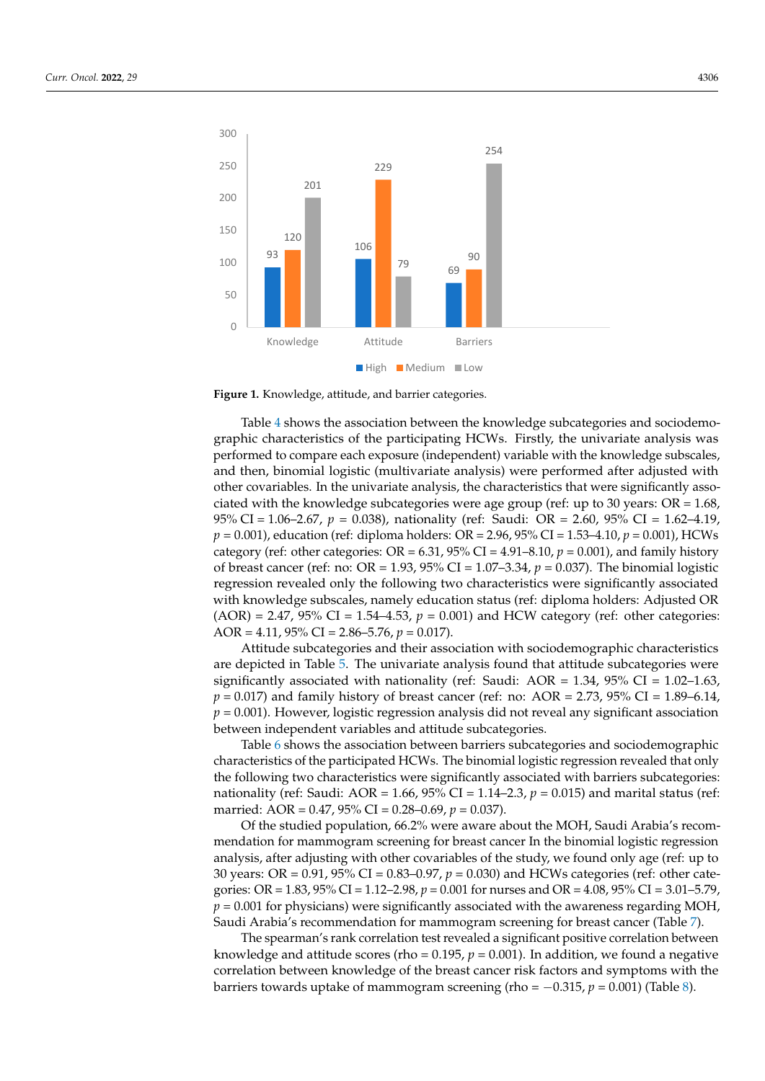<span id="page-6-0"></span>

**Figure 1.** Knowledge, attitude, and barrier categories. **Figure 1.** Knowledge, attitude, and barrier categories.

graphic characteristics of the participating HCWs. Firstly, the univariate analysis was performed to compare each exposure (independent) variable with the knowledge subscales, and then, binomial logistic (multivariate analysis) were performed after adjusted with other covariables. In the univariate analysis, the characteristics that were significantly associated with the knowledge subcategories were age group (ref: up to 30 years:  $OR = 1.68$ , 95% CI = 1.06–2.67, *p* = 0.038), nationality (ref: Saudi: OR = 2.60, 95% CI = 1.62–4.19, *p* = 0.001), education (ref: diploma holders: OR = 2.96, 95% CI = 1.53-4.10, *p* = 0.001), HCWs category (ref: other categories: OR =  $6.31$ ,  $95\%$  CI =  $4.91-8.10$ ,  $p = 0.001$ ), and family history of breast cancer (ref: no: OR = 1.93, 95% CI = 1.07–3.34,  $p = 0.037$ ). The binomial logistic regression revealed only the following two characteristics were significantly associated with knowledge subscales, namely education status (ref: diploma holders: Adjusted OR  $(AOR) = 2.47$ , 95% CI = 1.54–4.53,  $p = 0.001$ ) and HCW category (ref: other categories:  $AOR = 4.11, 95\% \text{ CI} = 2.86 - 5.76, p = 0.017.$ Table [4](#page-7-0) shows the association between the knowledge subcategories and sociodemo-

Attitude subcategories and their association with sociodemographic characteristics significantly associated with nationality (ref: Saudi: AOR = 1.34, 95% CI = 1.02-1.63,  $p = 0.017$ ) and family history of breast cancer (ref: no: AOR = 2.73, 95% CI = 1.89–6.14, **between independent variables and attitude subcategories.** p = 0.001). However, logistic regression analysis did not reveal any significant association are depicted in Table [5.](#page-8-0) The univariate analysis found that attitude subcategories were

**(***n* **= 414) Low/Medium vs. Low/Medium vs.**  characteristics of the participated HCWs. The binomial logistic regression revealed that only **Table 6 shows the association between barriers subcategories and sociodemographic High High**  the following two characteristics were significantly associated with barriers subcategories: nationality (ref: Saudi: AOR = 1.66, 95% CI = 1.14–2.3, *p* = 0.015) and marital status (ref: married: AOR = 0.47, 95% CI = 0.28–0.69, *p* = 0.037). **(***n* **= 321) (***n* **= 93)**  married: AOR = 0.47, 95% CI = 0.28–0.69, *p* = 0.037). d:  $\overline{AOR} = 0.47$ ,  $95\%$  CI = 0.28–0.69,  $p = 0.037$ ).<br>  $\overline{O}$  the studied population, 66.2% were aware about the MOH, Saudi Arabia's recor

analysis, after adjusting with other covariables of the study, we found only age (ref: up to 30 years: OR =  $0.91$ ,  $95\%$  CI =  $0.83$ – $0.97$ ,  $p$  =  $0.030$ ) and HCWs categories (ref: other cate $p = 0.001$  for physicians) were significantly associated with the awareness regarding MOH, Saudi Arabia's recommendation for mammogram screening for breast cancer (Table [7\)](#page-10-0).<br>
The contract of the contract of the contract of the contract of the contract of the contract of the contract o Of the studied population, 66.2% were aware about the MOH, Saudi Arabia's recommendation for mammogram screening for breast cancer In the binomial logistic regression gories: OR = 1.83, 95% CI = 1.12–2.98, *p* = 0.001 for nurses and OR = 4.08, 95% CI = 3.01–5.79,

extraction between knowledge of the breast cancer risk factors and symptoms with the barriers towards uptake of mammogram screening (rho =  $-0.315$ ,  $p = 0.001$ ) (Table [8\)](#page-11-0).  $\mathcal{L}$  29  $\mathcal{L}$  1.01 (0.85–1.34) 0.01 (17.2) 1.01 (17.34) 0.81 The spearman's rank correlation test revealed a significant positive correlation between knowledge and attitude scores (rho =  $0.195$ ,  $p = 0.001$ ). In addition, we found a negative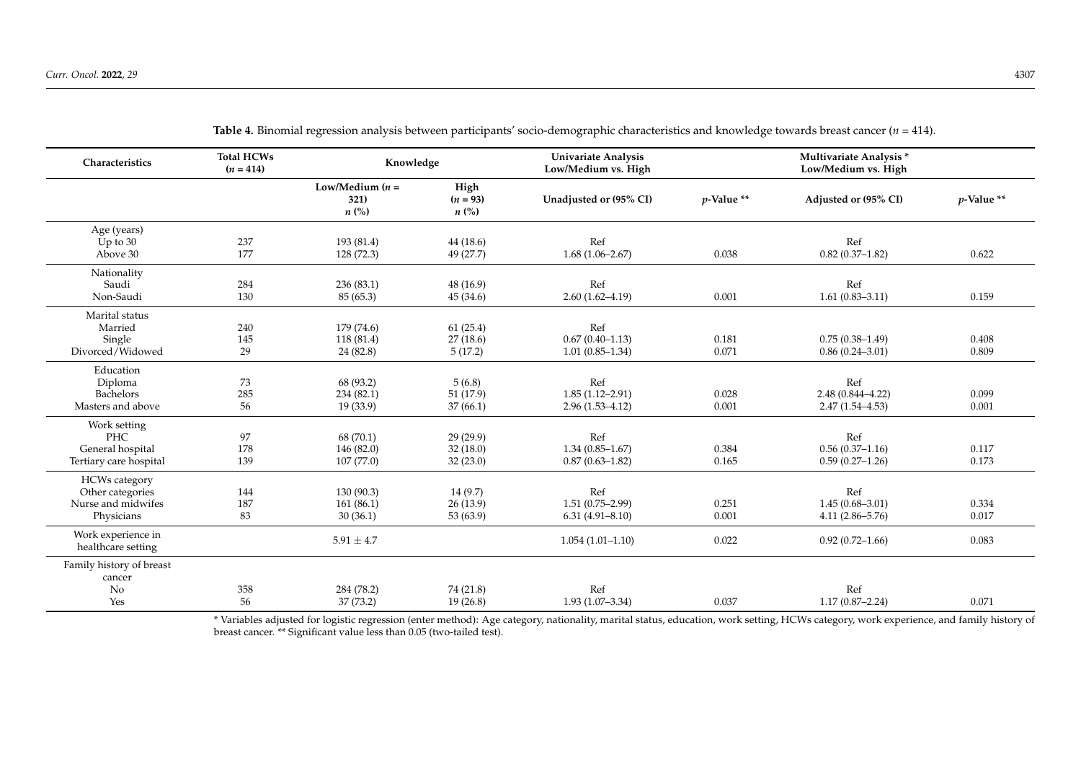<span id="page-7-0"></span>

| Characteristics                                                              | <b>Total HCWs</b><br>$(n = 414)$ | Knowledge                              |                                          | <b>Univariate Analysis</b><br>Low/Medium vs. High |                | Multivariate Analysis*<br>Low/Medium vs. High      |                |
|------------------------------------------------------------------------------|----------------------------------|----------------------------------------|------------------------------------------|---------------------------------------------------|----------------|----------------------------------------------------|----------------|
|                                                                              |                                  | Low/Medium $(n =$<br>321)<br>$n\ (\%)$ | High<br>$(n = 93)$<br>$n\left(\%\right)$ | Unadjusted or (95% CI)                            | $p$ -Value **  | Adjusted or (95% CI)                               | $p$ -Value **  |
| Age (years)<br>Up to $30$<br>Above 30                                        | 237<br>177                       | 193 (81.4)<br>128 (72.3)               | 44(18.6)<br>49 (27.7)                    | Ref<br>$1.68(1.06 - 2.67)$                        | 0.038          | Ref<br>$0.82(0.37-1.82)$                           | 0.622          |
| Nationality<br>Saudi<br>Non-Saudi                                            | 284<br>130                       | 236(83.1)<br>85(65.3)                  | 48(16.9)<br>45(34.6)                     | Ref<br>$2.60(1.62 - 4.19)$                        | 0.001          | Ref<br>$1.61(0.83 - 3.11)$                         | 0.159          |
| Marital status<br>Married<br>Single<br>Divorced/Widowed                      | 240<br>145<br>29                 | 179(74.6)<br>118 (81.4)<br>24 (82.8)   | 61(25.4)<br>27(18.6)<br>5(17.2)          | Ref<br>$0.67(0.40-1.13)$<br>$1.01(0.85-1.34)$     | 0.181<br>0.071 | $0.75(0.38-1.49)$<br>$0.86(0.24 - 3.01)$           | 0.408<br>0.809 |
| Education<br>Diploma<br>Bachelors<br>Masters and above                       | 73<br>285<br>56                  | 68 (93.2)<br>234(82.1)<br>19(33.9)     | 5(6.8)<br>51(17.9)<br>37(66.1)           | Ref<br>$1.85(1.12 - 2.91)$<br>$2.96(1.53 - 4.12)$ | 0.028<br>0.001 | Ref<br>$2.48(0.844 - 4.22)$<br>$2.47(1.54 - 4.53)$ | 0.099<br>0.001 |
| Work setting<br>PHC<br>General hospital<br>Tertiary care hospital            | 97<br>178<br>139                 | 68 (70.1)<br>146 (82.0)<br>107(77.0)   | 29 (29.9)<br>32(18.0)<br>32(23.0)        | Ref<br>$1.34(0.85 - 1.67)$<br>$0.87(0.63 - 1.82)$ | 0.384<br>0.165 | Ref<br>$0.56(0.37-1.16)$<br>$0.59(0.27-1.26)$      | 0.117<br>0.173 |
| <b>HCWs</b> category<br>Other categories<br>Nurse and midwifes<br>Physicians | 144<br>187<br>83                 | 130(90.3)<br>161(86.1)<br>30(36.1)     | 14 (9.7)<br>26(13.9)<br>53 (63.9)        | Ref<br>$1.51(0.75 - 2.99)$<br>$6.31(4.91 - 8.10)$ | 0.251<br>0.001 | Ref<br>$1.45(0.68 - 3.01)$<br>$4.11(2.86 - 5.76)$  | 0.334<br>0.017 |
| Work experience in<br>healthcare setting                                     |                                  | $5.91 \pm 4.7$                         |                                          | $1.054(1.01-1.10)$                                | 0.022          | $0.92(0.72 - 1.66)$                                | 0.083          |
| Family history of breast<br>cancer<br>No<br>Yes                              | 358<br>56                        | 284 (78.2)<br>37 (73.2)                | 74 (21.8)<br>19(26.8)                    | Ref<br>$1.93(1.07 - 3.34)$                        | 0.037          | Ref<br>$1.17(0.87 - 2.24)$                         | 0.071          |

**Table 4.** Binomial regression analysis between participants' socio-demographic characteristics and knowledge towards breast cancer (*n* = 414).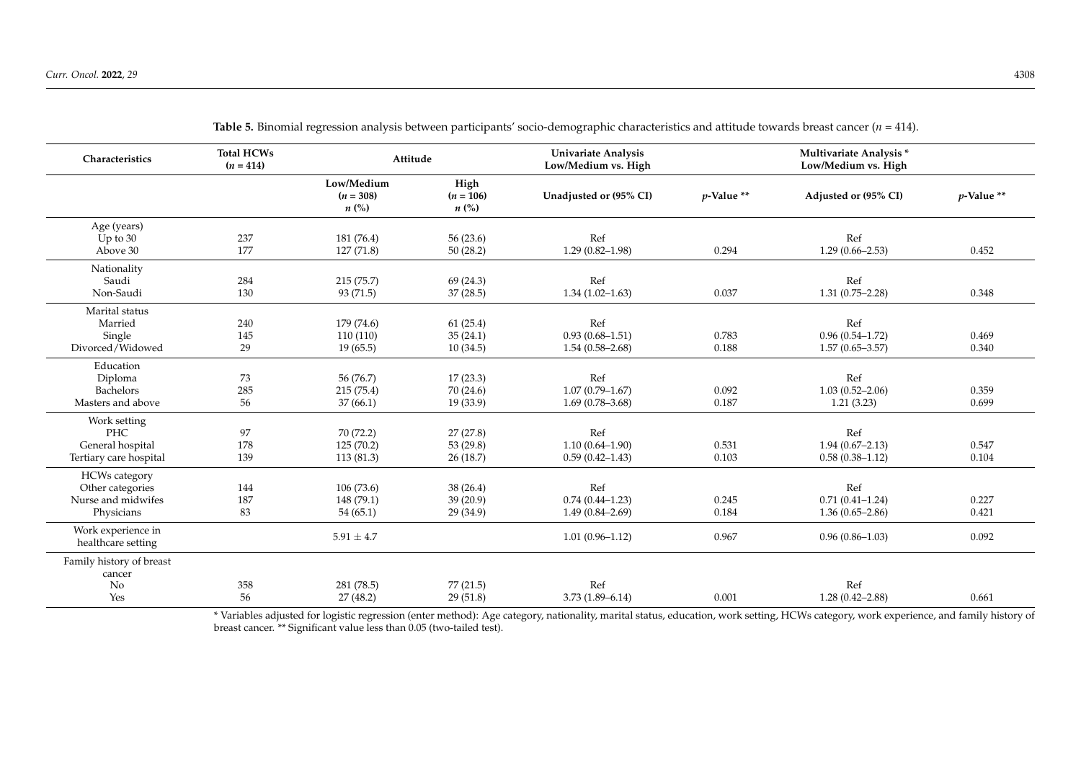<span id="page-8-0"></span>

| Characteristics                                                              | <b>Total HCWs</b><br>$(n = 414)$ | Attitude                               |                                           | <b>Univariate Analysis</b><br>Low/Medium vs. High |                | Multivariate Analysis *<br>Low/Medium vs. High    |                |
|------------------------------------------------------------------------------|----------------------------------|----------------------------------------|-------------------------------------------|---------------------------------------------------|----------------|---------------------------------------------------|----------------|
|                                                                              |                                  | Low/Medium<br>$(n = 308)$<br>$n\ (\%)$ | High<br>$(n = 106)$<br>$n\left(\%\right)$ | Unadjusted or (95% CI)                            | $p$ -Value **  | Adjusted or (95% CI)                              | $p$ -Value **  |
| Age (years)<br>Up to $30$<br>Above 30                                        | 237<br>177                       | 181 (76.4)<br>127 (71.8)               | 56(23.6)<br>50(28.2)                      | Ref<br>$1.29(0.82 - 1.98)$                        | 0.294          | Ref<br>$1.29(0.66 - 2.53)$                        | 0.452          |
| Nationality<br>Saudi<br>Non-Saudi                                            | 284<br>130                       | 215 (75.7)<br>93(71.5)                 | 69 (24.3)<br>37(28.5)                     | Ref<br>$1.34(1.02 - 1.63)$                        | 0.037          | Ref<br>$1.31(0.75 - 2.28)$                        | 0.348          |
| Marital status<br>Married<br>Single<br>Divorced/Widowed                      | 240<br>145<br>29                 | 179 (74.6)<br>110(110)<br>19(65.5)     | 61(25.4)<br>35(24.1)<br>10(34.5)          | Ref<br>$0.93(0.68 - 1.51)$<br>$1.54(0.58-2.68)$   | 0.783<br>0.188 | Ref<br>$0.96(0.54 - 1.72)$<br>$1.57(0.65 - 3.57)$ | 0.469<br>0.340 |
| Education<br>Diploma<br>Bachelors<br>Masters and above                       | 73<br>285<br>56                  | 56 (76.7)<br>215 (75.4)<br>37(66.1)    | 17(23.3)<br>70(24.6)<br>19(33.9)          | Ref<br>$1.07(0.79 - 1.67)$<br>$1.69(0.78 - 3.68)$ | 0.092<br>0.187 | Ref<br>$1.03(0.52 - 2.06)$<br>1.21(3.23)          | 0.359<br>0.699 |
| Work setting<br>PHC<br>General hospital<br>Tertiary care hospital            | 97<br>178<br>139                 | 70 (72.2)<br>125(70.2)<br>113(81.3)    | 27(27.8)<br>53 $(29.8)$<br>26(18.7)       | Ref<br>$1.10(0.64 - 1.90)$<br>$0.59(0.42 - 1.43)$ | 0.531<br>0.103 | Ref<br>$1.94(0.67 - 2.13)$<br>$0.58(0.38-1.12)$   | 0.547<br>0.104 |
| <b>HCWs</b> category<br>Other categories<br>Nurse and midwifes<br>Physicians | 144<br>187<br>83                 | 106(73.6)<br>148 (79.1)<br>54(65.1)    | 38 (26.4)<br>39(20.9)<br>29(34.9)         | Ref<br>$0.74(0.44 - 1.23)$<br>$1.49(0.84 - 2.69)$ | 0.245<br>0.184 | Ref<br>$0.71(0.41 - 1.24)$<br>$1.36(0.65 - 2.86)$ | 0.227<br>0.421 |
| Work experience in<br>healthcare setting                                     |                                  | $5.91 \pm 4.7$                         |                                           | $1.01(0.96 - 1.12)$                               | 0.967          | $0.96(0.86 - 1.03)$                               | 0.092          |
| Family history of breast<br>cancer<br>No<br>Yes                              | 358<br>56                        | 281 (78.5)<br>27(48.2)                 | 77(21.5)<br>29(51.8)                      | Ref<br>$3.73(1.89 - 6.14)$                        | 0.001          | Ref<br>$1.28(0.42 - 2.88)$                        | 0.661          |

**Table 5.** Binomial regression analysis between participants' socio-demographic characteristics and attitude towards breast cancer (*n* = 414).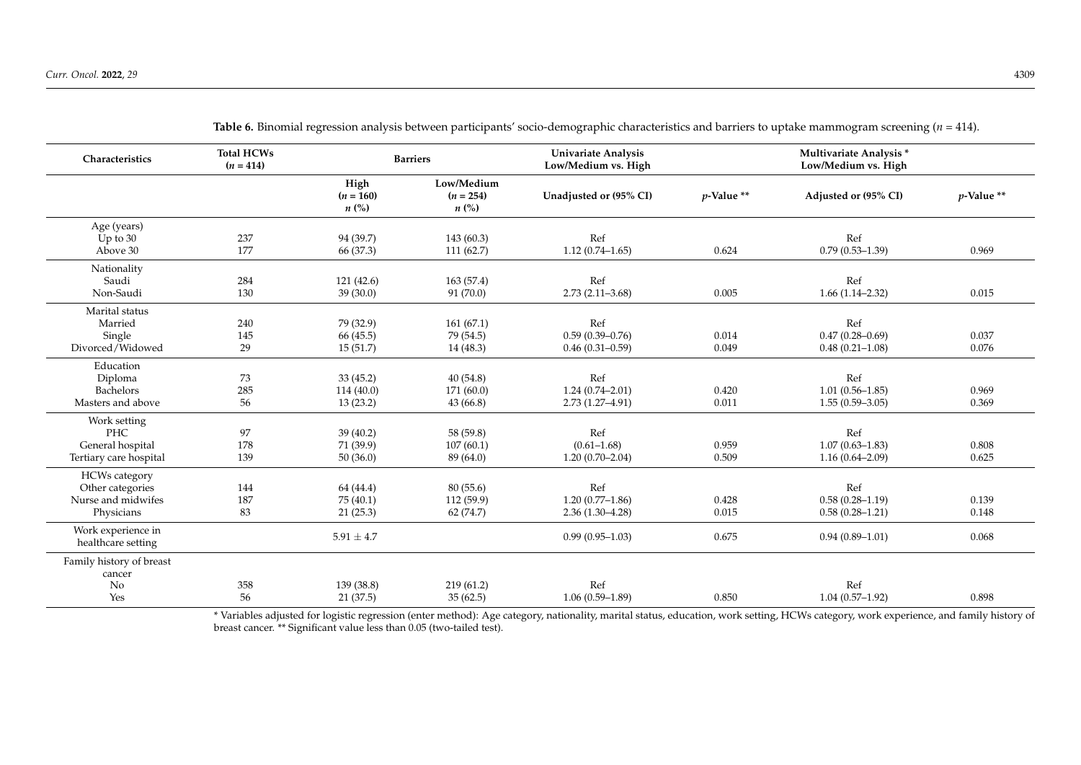<span id="page-9-0"></span>

| Characteristics                                                              | <b>Total HCWs</b><br>$(n = 414)$ |                                    | <b>Barriers</b>                                 | <b>Univariate Analysis</b><br>Low/Medium vs. High |                | Multivariate Analysis *<br>Low/Medium vs. High    |                |
|------------------------------------------------------------------------------|----------------------------------|------------------------------------|-------------------------------------------------|---------------------------------------------------|----------------|---------------------------------------------------|----------------|
|                                                                              |                                  | High<br>$(n = 160)$<br>$n\ (\%)$   | Low/Medium<br>$(n = 254)$<br>$n\left(\%\right)$ | Unadjusted or (95% CI)                            | $p$ -Value **  | Adjusted or (95% CI)                              | $p$ -Value **  |
| Age (years)<br>Up to $30$<br>Above 30                                        | 237<br>177                       | 94 (39.7)<br>66 (37.3)             | 143(60.3)<br>111(62.7)                          | Ref<br>$1.12(0.74 - 1.65)$                        | 0.624          | Ref<br>$0.79(0.53 - 1.39)$                        | 0.969          |
| Nationality<br>Saudi<br>Non-Saudi                                            | 284<br>130                       | 121(42.6)<br>39(30.0)              | 163(57.4)<br>91(70.0)                           | Ref<br>$2.73(2.11 - 3.68)$                        | 0.005          | Ref<br>$1.66(1.14-2.32)$                          | 0.015          |
| Marital status<br>Married<br>Single<br>Divorced/Widowed                      | 240<br>145<br>29                 | 79 (32.9)<br>66 (45.5)<br>15(51.7) | 161(67.1)<br>79 (54.5)<br>14(48.3)              | Ref<br>$0.59(0.39 - 0.76)$<br>$0.46(0.31-0.59)$   | 0.014<br>0.049 | Ref<br>$0.47(0.28 - 0.69)$<br>$0.48(0.21 - 1.08)$ | 0.037<br>0.076 |
| Education<br>Diploma<br>Bachelors<br>Masters and above                       | 73<br>285<br>56                  | 33(45.2)<br>114 (40.0)<br>13(23.2) | 40(54.8)<br>171 (60.0)<br>43(66.8)              | Ref<br>$1.24(0.74 - 2.01)$<br>$2.73(1.27 - 4.91)$ | 0.420<br>0.011 | Ref<br>$1.01(0.56 - 1.85)$<br>$1.55(0.59 - 3.05)$ | 0.969<br>0.369 |
| Work setting<br><b>PHC</b><br>General hospital<br>Tertiary care hospital     | 97<br>178<br>139                 | 39 (40.2)<br>71 (39.9)<br>50(36.0) | 58 (59.8)<br>107(60.1)<br>89 (64.0)             | Ref<br>$(0.61 - 1.68)$<br>$1.20(0.70-2.04)$       | 0.959<br>0.509 | Ref<br>$1.07(0.63 - 1.83)$<br>$1.16(0.64 - 2.09)$ | 0.808<br>0.625 |
| <b>HCWs</b> category<br>Other categories<br>Nurse and midwifes<br>Physicians | 144<br>187<br>83                 | 64 (44.4)<br>75(40.1)<br>21(25.3)  | 80(55.6)<br>112 (59.9)<br>62 (74.7)             | Ref<br>$1.20(0.77-1.86)$<br>$2.36(1.30-4.28)$     | 0.428<br>0.015 | Ref<br>$0.58(0.28 - 1.19)$<br>$0.58(0.28 - 1.21)$ | 0.139<br>0.148 |
| Work experience in<br>healthcare setting                                     |                                  | $5.91 \pm 4.7$                     |                                                 | $0.99(0.95-1.03)$                                 | 0.675          | $0.94(0.89 - 1.01)$                               | 0.068          |
| Family history of breast<br>cancer<br>No<br>Yes                              | 358<br>56                        | 139 (38.8)<br>21(37.5)             | 219(61.2)<br>35(62.5)                           | Ref<br>$1.06(0.59 - 1.89)$                        | 0.850          | Ref<br>$1.04(0.57-1.92)$                          | 0.898          |

**Table 6.** Binomial regression analysis between participants' socio-demographic characteristics and barriers to uptake mammogram screening (*n* = 414).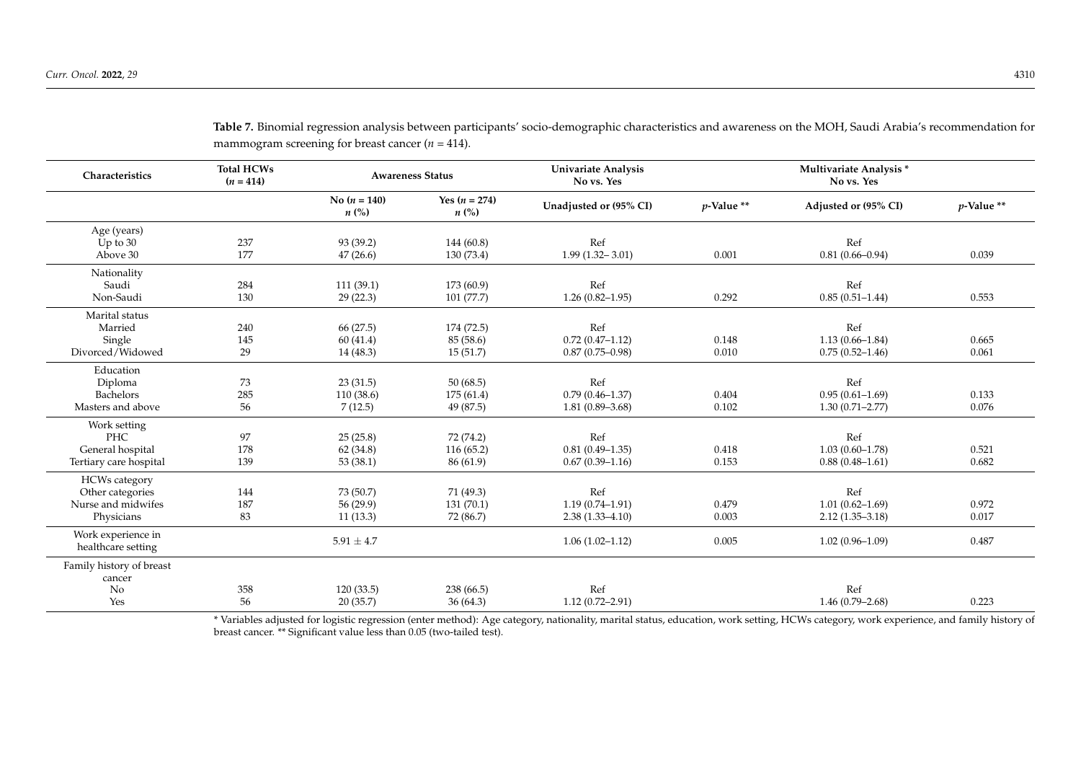<span id="page-10-0"></span>

| Characteristics          | <b>Total HCWs</b><br>$(n = 414)$ |                             | <b>Awareness Status</b>               | <b>Univariate Analysis</b><br>No vs. Yes |               | Multivariate Analysis *<br>No vs. Yes |               |
|--------------------------|----------------------------------|-----------------------------|---------------------------------------|------------------------------------------|---------------|---------------------------------------|---------------|
|                          |                                  | No $(n = 140)$<br>$n\ (\%)$ | Yes $(n = 274)$<br>$n\left(\%\right)$ | Unadjusted or (95% CI)                   | $p$ -Value ** | Adjusted or (95% CI)                  | $p$ -Value ** |
| Age (years)              |                                  |                             |                                       |                                          |               |                                       |               |
| Up to $30$               | 237                              | 93 (39.2)                   | 144 (60.8)                            | Ref                                      |               | Ref                                   |               |
| Above 30                 | 177                              | 47(26.6)                    | 130 (73.4)                            | $1.99(1.32 - 3.01)$                      | 0.001         | $0.81(0.66 - 0.94)$                   | 0.039         |
| Nationality              |                                  |                             |                                       |                                          |               |                                       |               |
| Saudi                    | 284                              | 111(39.1)                   | 173 (60.9)                            | Ref                                      |               | Ref                                   |               |
| Non-Saudi                | 130                              | 29(22.3)                    | 101(77.7)                             | $1.26(0.82 - 1.95)$                      | 0.292         | $0.85(0.51-1.44)$                     | 0.553         |
| Marital status           |                                  |                             |                                       |                                          |               |                                       |               |
| Married                  | 240                              | 66 (27.5)                   | 174 (72.5)                            | Ref                                      |               | Ref                                   |               |
| Single                   | 145                              | 60(41.4)                    | 85 (58.6)                             | $0.72(0.47 - 1.12)$                      | 0.148         | $1.13(0.66 - 1.84)$                   | 0.665         |
| Divorced/Widowed         | 29                               | 14(48.3)                    | 15(51.7)                              | $0.87(0.75 - 0.98)$                      | 0.010         | $0.75(0.52 - 1.46)$                   | 0.061         |
| Education                |                                  |                             |                                       |                                          |               |                                       |               |
| Diploma                  | 73                               | 23(31.5)                    | 50(68.5)                              | Ref                                      |               | Ref                                   |               |
| <b>Bachelors</b>         | 285                              | 110(38.6)                   | 175(61.4)                             | $0.79(0.46 - 1.37)$                      | 0.404         | $0.95(0.61 - 1.69)$                   | 0.133         |
| Masters and above        | 56                               | 7(12.5)                     | 49 (87.5)                             | $1.81(0.89 - 3.68)$                      | 0.102         | $1.30(0.71 - 2.77)$                   | 0.076         |
| Work setting             |                                  |                             |                                       |                                          |               |                                       |               |
| <b>PHC</b>               | 97                               | 25(25.8)                    | 72 (74.2)                             | Ref                                      |               | Ref                                   |               |
| General hospital         | 178                              | 62(34.8)                    | 116(65.2)                             | $0.81(0.49-1.35)$                        | 0.418         | $1.03(0.60 - 1.78)$                   | 0.521         |
| Tertiary care hospital   | 139                              | 53(38.1)                    | 86 (61.9)                             | $0.67(0.39-1.16)$                        | 0.153         | $0.88(0.48 - 1.61)$                   | 0.682         |
| <b>HCWs</b> category     |                                  |                             |                                       |                                          |               |                                       |               |
| Other categories         | 144                              | 73 (50.7)                   | 71 (49.3)                             | Ref                                      |               | Ref                                   |               |
| Nurse and midwifes       | 187                              | 56 (29.9)                   | 131(70.1)                             | $1.19(0.74 - 1.91)$                      | 0.479         | $1.01(0.62 - 1.69)$                   | 0.972         |
| Physicians               | 83                               | 11(13.3)                    | 72 (86.7)                             | $2.38(1.33 - 4.10)$                      | 0.003         | $2.12(1.35 - 3.18)$                   | 0.017         |
| Work experience in       |                                  |                             |                                       |                                          |               |                                       |               |
| healthcare setting       |                                  | $5.91 \pm 4.7$              |                                       | $1.06(1.02 - 1.12)$                      | 0.005         | $1.02(0.96 - 1.09)$                   | 0.487         |
| Family history of breast |                                  |                             |                                       |                                          |               |                                       |               |
| cancer                   |                                  |                             |                                       |                                          |               |                                       |               |
| No                       | 358                              | 120(33.5)                   | 238 (66.5)                            | Ref                                      |               | Ref                                   |               |
| Yes                      | 56                               | 20(35.7)                    | 36(64.3)                              | $1.12(0.72 - 2.91)$                      |               | $1.46(0.79 - 2.68)$                   | 0.223         |

**Table 7.** Binomial regression analysis between participants' socio-demographic characteristics and awareness on the MOH, Saudi Arabia's recommendation for mammogram screening for breast cancer  $(n = 414)$ .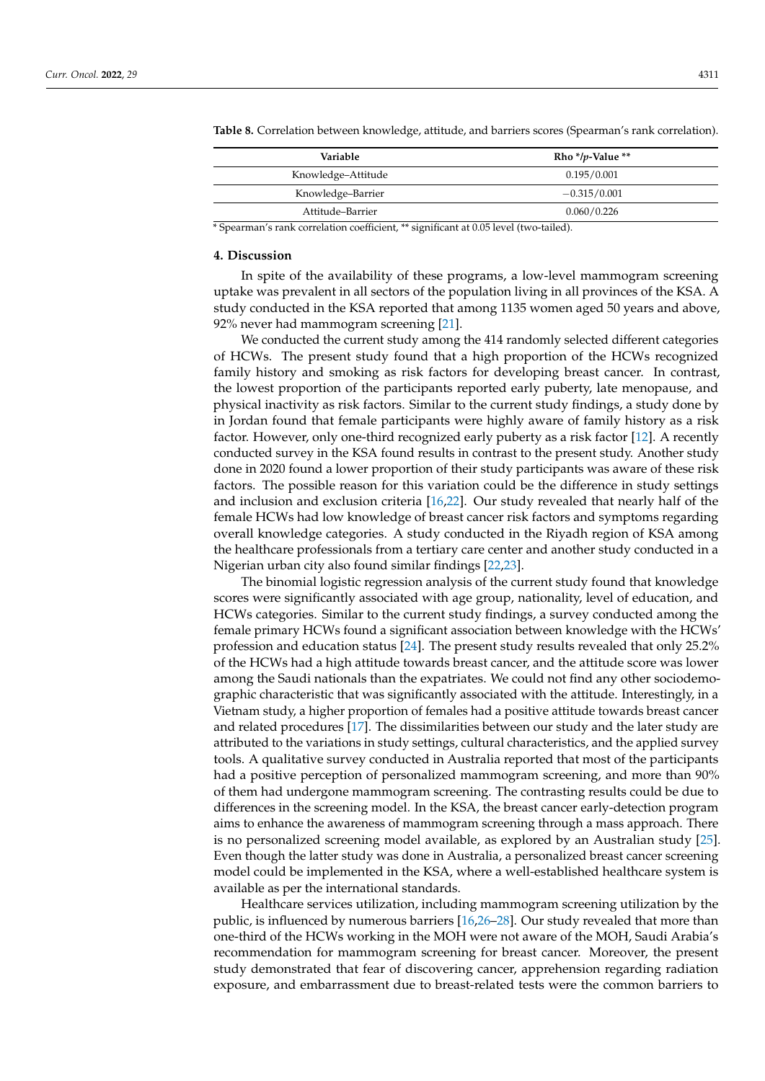| Variable           | Rho */p-Value ** |
|--------------------|------------------|
| Knowledge-Attitude | 0.195/0.001      |
| Knowledge–Barrier  | $-0.315/0.001$   |
| Attitude-Barrier   | 0.060/0.226      |

<span id="page-11-0"></span>**Table 8.** Correlation between knowledge, attitude, and barriers scores (Spearman's rank correlation).

\* Spearman's rank correlation coefficient, \*\* significant at 0.05 level (two-tailed).

#### **4. Discussion**

In spite of the availability of these programs, a low-level mammogram screening uptake was prevalent in all sectors of the population living in all provinces of the KSA. A study conducted in the KSA reported that among 1135 women aged 50 years and above, 92% never had mammogram screening [\[21\]](#page-14-8).

We conducted the current study among the 414 randomly selected different categories of HCWs. The present study found that a high proportion of the HCWs recognized family history and smoking as risk factors for developing breast cancer. In contrast, the lowest proportion of the participants reported early puberty, late menopause, and physical inactivity as risk factors. Similar to the current study findings, a study done by in Jordan found that female participants were highly aware of family history as a risk factor. However, only one-third recognized early puberty as a risk factor [\[12\]](#page-14-0). A recently conducted survey in the KSA found results in contrast to the present study. Another study done in 2020 found a lower proportion of their study participants was aware of these risk factors. The possible reason for this variation could be the difference in study settings and inclusion and exclusion criteria [\[16,](#page-14-4)[22\]](#page-14-9). Our study revealed that nearly half of the female HCWs had low knowledge of breast cancer risk factors and symptoms regarding overall knowledge categories. A study conducted in the Riyadh region of KSA among the healthcare professionals from a tertiary care center and another study conducted in a Nigerian urban city also found similar findings [\[22](#page-14-9)[,23\]](#page-14-10).

The binomial logistic regression analysis of the current study found that knowledge scores were significantly associated with age group, nationality, level of education, and HCWs categories. Similar to the current study findings, a survey conducted among the female primary HCWs found a significant association between knowledge with the HCWs' profession and education status [\[24\]](#page-14-11). The present study results revealed that only 25.2% of the HCWs had a high attitude towards breast cancer, and the attitude score was lower among the Saudi nationals than the expatriates. We could not find any other sociodemographic characteristic that was significantly associated with the attitude. Interestingly, in a Vietnam study, a higher proportion of females had a positive attitude towards breast cancer and related procedures [\[17\]](#page-14-12). The dissimilarities between our study and the later study are attributed to the variations in study settings, cultural characteristics, and the applied survey tools. A qualitative survey conducted in Australia reported that most of the participants had a positive perception of personalized mammogram screening, and more than 90% of them had undergone mammogram screening. The contrasting results could be due to differences in the screening model. In the KSA, the breast cancer early-detection program aims to enhance the awareness of mammogram screening through a mass approach. There is no personalized screening model available, as explored by an Australian study [\[25\]](#page-14-13). Even though the latter study was done in Australia, a personalized breast cancer screening model could be implemented in the KSA, where a well-established healthcare system is available as per the international standards.

Healthcare services utilization, including mammogram screening utilization by the public, is influenced by numerous barriers [\[16](#page-14-4)[,26–](#page-14-14)[28\]](#page-14-15). Our study revealed that more than one-third of the HCWs working in the MOH were not aware of the MOH, Saudi Arabia's recommendation for mammogram screening for breast cancer. Moreover, the present study demonstrated that fear of discovering cancer, apprehension regarding radiation exposure, and embarrassment due to breast-related tests were the common barriers to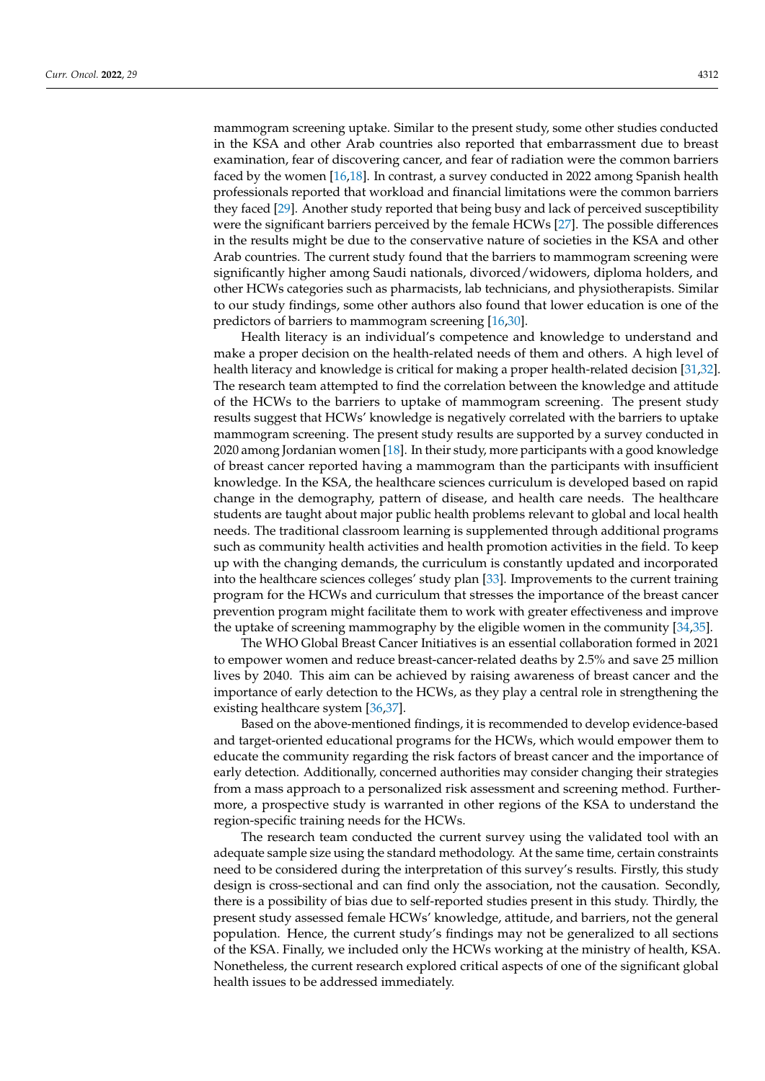mammogram screening uptake. Similar to the present study, some other studies conducted in the KSA and other Arab countries also reported that embarrassment due to breast examination, fear of discovering cancer, and fear of radiation were the common barriers faced by the women [\[16](#page-14-4)[,18\]](#page-14-5). In contrast, a survey conducted in 2022 among Spanish health professionals reported that workload and financial limitations were the common barriers they faced [\[29\]](#page-14-16). Another study reported that being busy and lack of perceived susceptibility were the significant barriers perceived by the female HCWs [\[27\]](#page-14-17). The possible differences in the results might be due to the conservative nature of societies in the KSA and other Arab countries. The current study found that the barriers to mammogram screening were significantly higher among Saudi nationals, divorced/widowers, diploma holders, and other HCWs categories such as pharmacists, lab technicians, and physiotherapists. Similar to our study findings, some other authors also found that lower education is one of the predictors of barriers to mammogram screening [\[16](#page-14-4)[,30\]](#page-14-18).

Health literacy is an individual's competence and knowledge to understand and make a proper decision on the health-related needs of them and others. A high level of health literacy and knowledge is critical for making a proper health-related decision [\[31](#page-14-19)[,32\]](#page-14-20). The research team attempted to find the correlation between the knowledge and attitude of the HCWs to the barriers to uptake of mammogram screening. The present study results suggest that HCWs' knowledge is negatively correlated with the barriers to uptake mammogram screening. The present study results are supported by a survey conducted in 2020 among Jordanian women [\[18\]](#page-14-5). In their study, more participants with a good knowledge of breast cancer reported having a mammogram than the participants with insufficient knowledge. In the KSA, the healthcare sciences curriculum is developed based on rapid change in the demography, pattern of disease, and health care needs. The healthcare students are taught about major public health problems relevant to global and local health needs. The traditional classroom learning is supplemented through additional programs such as community health activities and health promotion activities in the field. To keep up with the changing demands, the curriculum is constantly updated and incorporated into the healthcare sciences colleges' study plan [\[33\]](#page-14-21). Improvements to the current training program for the HCWs and curriculum that stresses the importance of the breast cancer prevention program might facilitate them to work with greater effectiveness and improve the uptake of screening mammography by the eligible women in the community [\[34](#page-14-22)[,35\]](#page-14-23).

The WHO Global Breast Cancer Initiatives is an essential collaboration formed in 2021 to empower women and reduce breast-cancer-related deaths by 2.5% and save 25 million lives by 2040. This aim can be achieved by raising awareness of breast cancer and the importance of early detection to the HCWs, as they play a central role in strengthening the existing healthcare system [\[36](#page-14-24)[,37\]](#page-14-25).

Based on the above-mentioned findings, it is recommended to develop evidence-based and target-oriented educational programs for the HCWs, which would empower them to educate the community regarding the risk factors of breast cancer and the importance of early detection. Additionally, concerned authorities may consider changing their strategies from a mass approach to a personalized risk assessment and screening method. Furthermore, a prospective study is warranted in other regions of the KSA to understand the region-specific training needs for the HCWs.

The research team conducted the current survey using the validated tool with an adequate sample size using the standard methodology. At the same time, certain constraints need to be considered during the interpretation of this survey's results. Firstly, this study design is cross-sectional and can find only the association, not the causation. Secondly, there is a possibility of bias due to self-reported studies present in this study. Thirdly, the present study assessed female HCWs' knowledge, attitude, and barriers, not the general population. Hence, the current study's findings may not be generalized to all sections of the KSA. Finally, we included only the HCWs working at the ministry of health, KSA. Nonetheless, the current research explored critical aspects of one of the significant global health issues to be addressed immediately.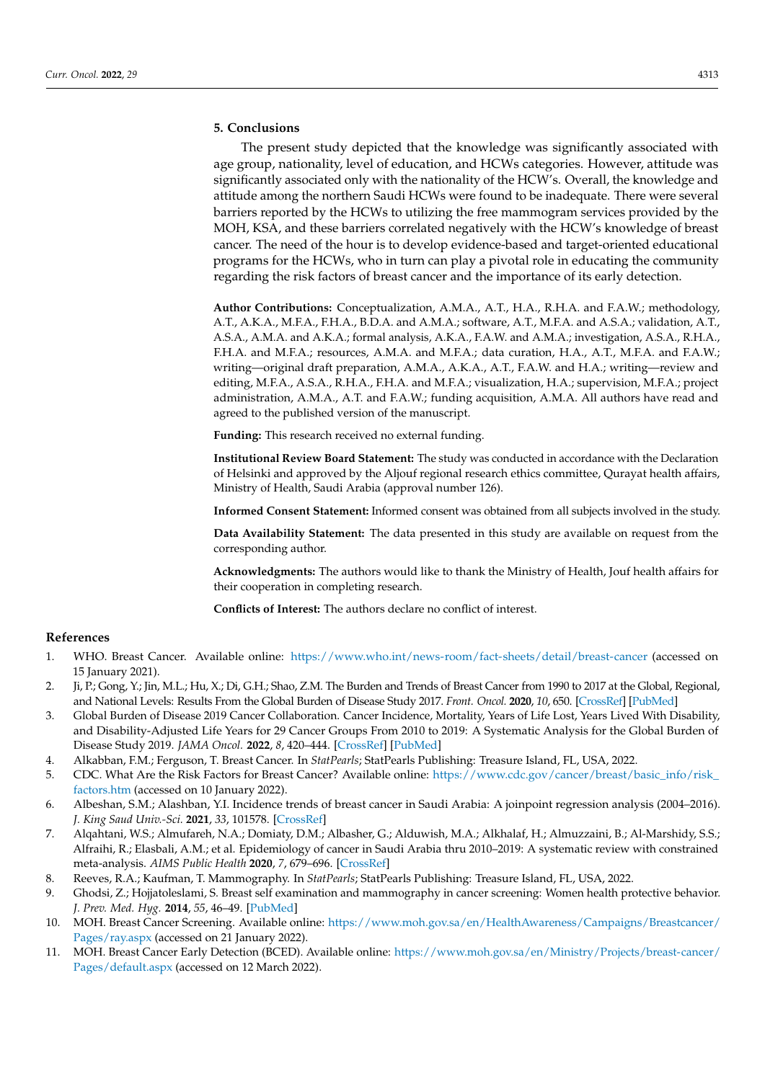# **5. Conclusions**

The present study depicted that the knowledge was significantly associated with age group, nationality, level of education, and HCWs categories. However, attitude was significantly associated only with the nationality of the HCW's. Overall, the knowledge and attitude among the northern Saudi HCWs were found to be inadequate. There were several barriers reported by the HCWs to utilizing the free mammogram services provided by the MOH, KSA, and these barriers correlated negatively with the HCW's knowledge of breast cancer. The need of the hour is to develop evidence-based and target-oriented educational programs for the HCWs, who in turn can play a pivotal role in educating the community regarding the risk factors of breast cancer and the importance of its early detection.

**Author Contributions:** Conceptualization, A.M.A., A.T., H.A., R.H.A. and F.A.W.; methodology, A.T., A.K.A., M.F.A., F.H.A., B.D.A. and A.M.A.; software, A.T., M.F.A. and A.S.A.; validation, A.T., A.S.A., A.M.A. and A.K.A.; formal analysis, A.K.A., F.A.W. and A.M.A.; investigation, A.S.A., R.H.A., F.H.A. and M.F.A.; resources, A.M.A. and M.F.A.; data curation, H.A., A.T., M.F.A. and F.A.W.; writing—original draft preparation, A.M.A., A.K.A., A.T., F.A.W. and H.A.; writing—review and editing, M.F.A., A.S.A., R.H.A., F.H.A. and M.F.A.; visualization, H.A.; supervision, M.F.A.; project administration, A.M.A., A.T. and F.A.W.; funding acquisition, A.M.A. All authors have read and agreed to the published version of the manuscript.

**Funding:** This research received no external funding.

**Institutional Review Board Statement:** The study was conducted in accordance with the Declaration of Helsinki and approved by the Aljouf regional research ethics committee, Qurayat health affairs, Ministry of Health, Saudi Arabia (approval number 126).

**Informed Consent Statement:** Informed consent was obtained from all subjects involved in the study.

**Data Availability Statement:** The data presented in this study are available on request from the corresponding author.

**Acknowledgments:** The authors would like to thank the Ministry of Health, Jouf health affairs for their cooperation in completing research.

**Conflicts of Interest:** The authors declare no conflict of interest.

# **References**

- <span id="page-13-0"></span>1. WHO. Breast Cancer. Available online: <https://www.who.int/news-room/fact-sheets/detail/breast-cancer> (accessed on 15 January 2021).
- <span id="page-13-1"></span>2. Ji, P.; Gong, Y.; Jin, M.L.; Hu, X.; Di, G.H.; Shao, Z.M. The Burden and Trends of Breast Cancer from 1990 to 2017 at the Global, Regional, and National Levels: Results From the Global Burden of Disease Study 2017. *Front. Oncol.* **2020**, *10*, 650. [\[CrossRef\]](http://doi.org/10.3389/fonc.2020.00650) [\[PubMed\]](http://www.ncbi.nlm.nih.gov/pubmed/32528870)
- <span id="page-13-2"></span>3. Global Burden of Disease 2019 Cancer Collaboration. Cancer Incidence, Mortality, Years of Life Lost, Years Lived With Disability, and Disability-Adjusted Life Years for 29 Cancer Groups From 2010 to 2019: A Systematic Analysis for the Global Burden of Disease Study 2019. *JAMA Oncol.* **2022**, *8*, 420–444. [\[CrossRef\]](http://doi.org/10.1001/jamaoncol.2021.6987) [\[PubMed\]](http://www.ncbi.nlm.nih.gov/pubmed/34967848)
- <span id="page-13-3"></span>4. Alkabban, F.M.; Ferguson, T. Breast Cancer. In *StatPearls*; StatPearls Publishing: Treasure Island, FL, USA, 2022.
- <span id="page-13-4"></span>5. CDC. What Are the Risk Factors for Breast Cancer? Available online: [https://www.cdc.gov/cancer/breast/basic\\_info/risk\\_](https://www.cdc.gov/cancer/breast/basic_info/risk_factors.htm) [factors.htm](https://www.cdc.gov/cancer/breast/basic_info/risk_factors.htm) (accessed on 10 January 2022).
- <span id="page-13-5"></span>6. Albeshan, S.M.; Alashban, Y.I. Incidence trends of breast cancer in Saudi Arabia: A joinpoint regression analysis (2004–2016). *J. King Saud Univ.-Sci.* **2021**, *33*, 101578. [\[CrossRef\]](http://doi.org/10.1016/j.jksus.2021.101578)
- <span id="page-13-6"></span>7. Alqahtani, W.S.; Almufareh, N.A.; Domiaty, D.M.; Albasher, G.; Alduwish, M.A.; Alkhalaf, H.; Almuzzaini, B.; Al-Marshidy, S.S.; Alfraihi, R.; Elasbali, A.M.; et al. Epidemiology of cancer in Saudi Arabia thru 2010–2019: A systematic review with constrained meta-analysis. *AIMS Public Health* **2020**, *7*, 679–696. [\[CrossRef\]](http://doi.org/10.3934/publichealth.2020053)
- <span id="page-13-7"></span>8. Reeves, R.A.; Kaufman, T. Mammography. In *StatPearls*; StatPearls Publishing: Treasure Island, FL, USA, 2022.
- <span id="page-13-8"></span>9. Ghodsi, Z.; Hojjatoleslami, S. Breast self examination and mammography in cancer screening: Women health protective behavior. *J. Prev. Med. Hyg.* **2014**, *55*, 46–49. [\[PubMed\]](http://www.ncbi.nlm.nih.gov/pubmed/25916019)
- <span id="page-13-9"></span>10. MOH. Breast Cancer Screening. Available online: [https://www.moh.gov.sa/en/HealthAwareness/Campaigns/Breastcancer/](https://www.moh.gov.sa/en/HealthAwareness/Campaigns/Breastcancer/Pages/ray.aspx) [Pages/ray.aspx](https://www.moh.gov.sa/en/HealthAwareness/Campaigns/Breastcancer/Pages/ray.aspx) (accessed on 21 January 2022).
- <span id="page-13-10"></span>11. MOH. Breast Cancer Early Detection (BCED). Available online: [https://www.moh.gov.sa/en/Ministry/Projects/breast-cancer/](https://www.moh.gov.sa/en/Ministry/Projects/breast-cancer/Pages/default.aspx) [Pages/default.aspx](https://www.moh.gov.sa/en/Ministry/Projects/breast-cancer/Pages/default.aspx) (accessed on 12 March 2022).